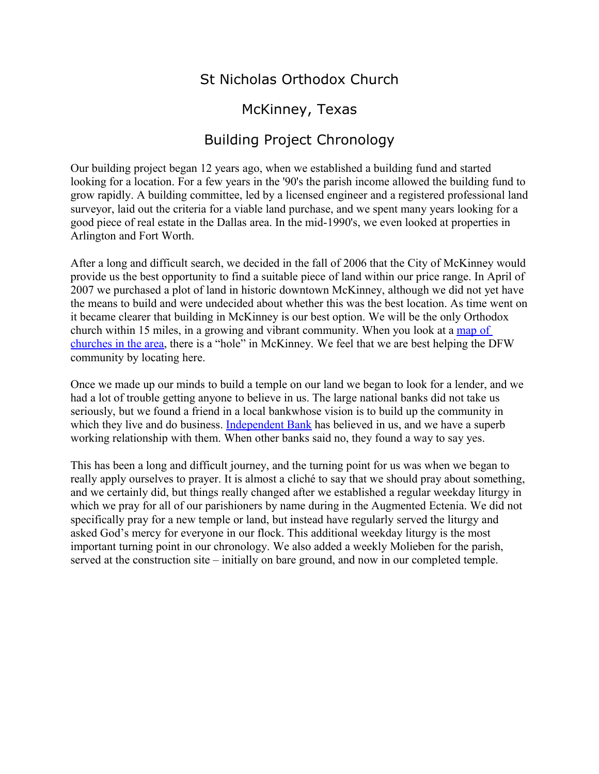# St Nicholas Orthodox Church

# McKinney, Texas

# Building Project Chronology

Our building project began 12 years ago, when we established a building fund and started looking for a location. For a few years in the '90's the parish income allowed the building fund to grow rapidly. A building committee, led by a licensed engineer and a registered professional land surveyor, laid out the criteria for a viable land purchase, and we spent many years looking for a good piece of real estate in the Dallas area. In the mid-1990's, we even looked at properties in Arlington and Fort Worth.

After a long and difficult search, we decided in the fall of 2006 that the City of McKinney would provide us the best opportunity to find a suitable piece of land within our price range. In April of 2007 we purchased a plot of land in historic downtown McKinney, although we did not yet have the means to build and were undecided about whether this was the best location. As time went on it became clearer that building in McKinney is our best option. We will be the only Orthodox church within 15 miles, in a growing and vibrant community. When you look at a [map of](http://ntom.org/parish-directory/) [churches in the area,](http://ntom.org/parish-directory/) there is a "hole" in McKinney. We feel that we are best helping the DFW community by locating here.

Once we made up our minds to build a temple on our land we began to look for a lender, and we had a lot of trouble getting anyone to believe in us. The large national banks did not take us seriously, but we found a friend in a local bankwhose vision is to build up the community in which they live and do business. [Independent Bank](https://www.independent-bank.com/index.html) has believed in us, and we have a superb working relationship with them. When other banks said no, they found a way to say yes.

This has been a long and difficult journey, and the turning point for us was when we began to really apply ourselves to prayer. It is almost a cliché to say that we should pray about something, and we certainly did, but things really changed after we established a regular weekday liturgy in which we pray for all of our parishioners by name during in the Augmented Ectenia. We did not specifically pray for a new temple or land, but instead have regularly served the liturgy and asked God's mercy for everyone in our flock. This additional weekday liturgy is the most important turning point in our chronology. We also added a weekly Molieben for the parish, served at the construction site – initially on bare ground, and now in our completed temple.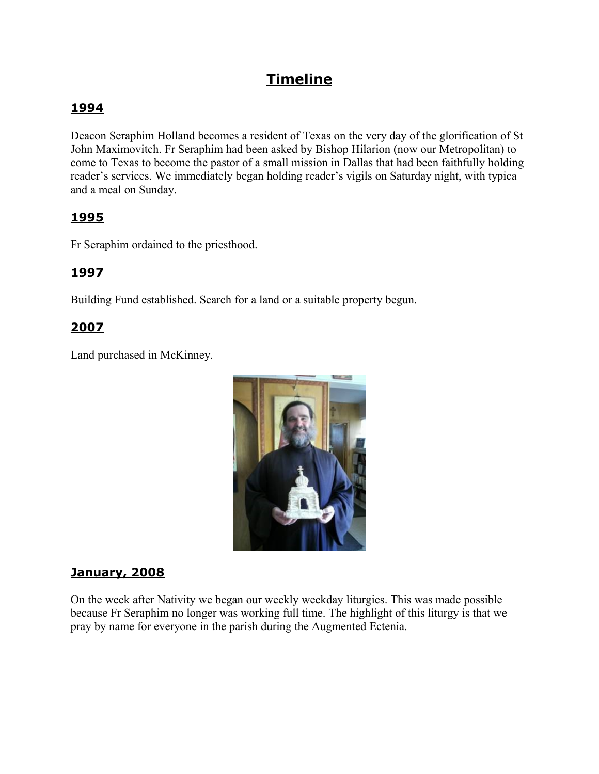# **Timeline**

## **1994**

Deacon Seraphim Holland becomes a resident of Texas on the very day of the glorification of St John Maximovitch. Fr Seraphim had been asked by Bishop Hilarion (now our Metropolitan) to come to Texas to become the pastor of a small mission in Dallas that had been faithfully holding reader's services. We immediately began holding reader's vigils on Saturday night, with typica and a meal on Sunday.

### **1995**

Fr Seraphim ordained to the priesthood.

## **1997**

Building Fund established. Search for a land or a suitable property begun.

### **2007**

Land purchased in McKinney.



### **January, 2008**

On the week after Nativity we began our weekly weekday liturgies. This was made possible because Fr Seraphim no longer was working full time. The highlight of this liturgy is that we pray by name for everyone in the parish during the Augmented Ectenia.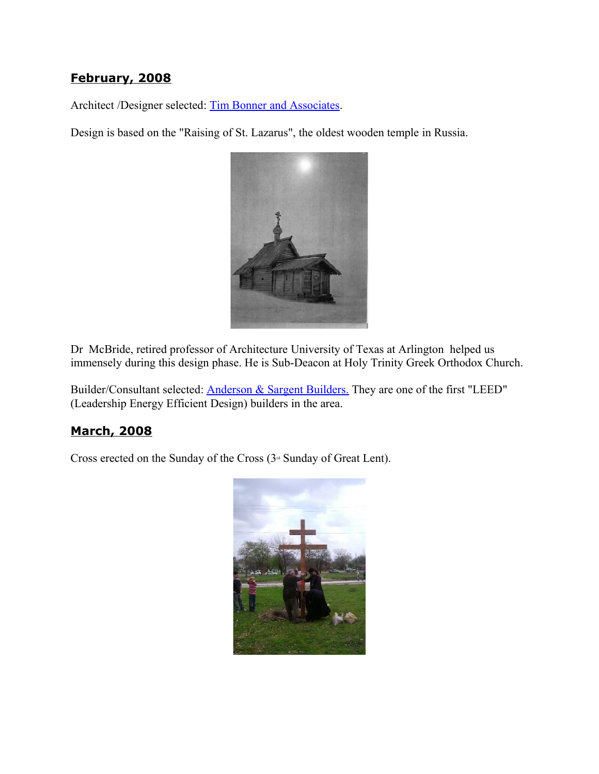### **February, 2008**

Architect /Designer selected: [Tim Bonner and Associates.](http://www.bonnerassoc.net/)

Design is based on the "Raising of St. Lazarus", the oldest wooden temple in Russia.



Dr McBride, retired professor of Architecture University of Texas at Arlington helped us immensely during this design phase. He is Sub-Deacon at Holy Trinity Greek Orthodox Church.

Builder/Consultant selected: **Anderson & Sargent Builders**. They are one of the first "LEED" (Leadership Energy Efficient Design) builders in the area.

#### **March, 2008**

Cross erected on the Sunday of the Cross  $(3<sup>d</sup>$  Sunday of Great Lent).

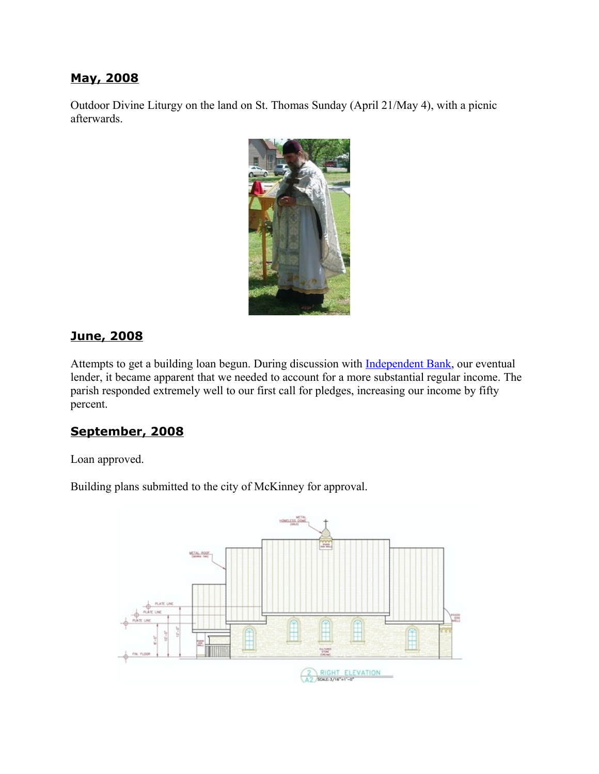#### **May, 2008**

Outdoor Divine Liturgy on the land on St. Thomas Sunday (April 21/May 4), with a picnic afterwards.



#### **June, 2008**

Attempts to get a building loan begun. During discussion with **Independent Bank**, our eventual lender, it became apparent that we needed to account for a more substantial regular income. The parish responded extremely well to our first call for pledges, increasing our income by fifty percent.

#### **September, 2008**

Loan approved.

Building plans submitted to the city of McKinney for approval.

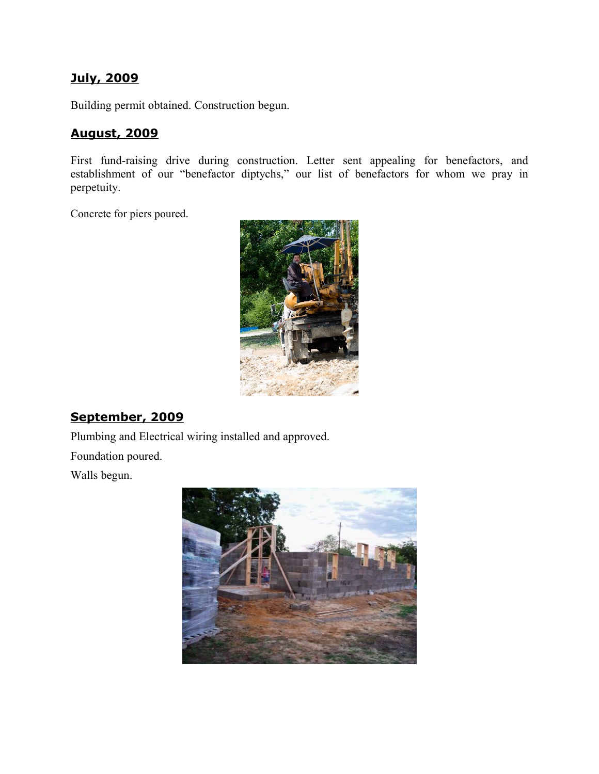#### **July, 2009**

Building permit obtained. Construction begun.

#### **August, 2009**

First fund-raising drive during construction. Letter sent appealing for benefactors, and establishment of our "benefactor diptychs," our list of benefactors for whom we pray in perpetuity.

Concrete for piers poured.



## **September, 2009**

Plumbing and Electrical wiring installed and approved.

Foundation poured.

Walls begun.

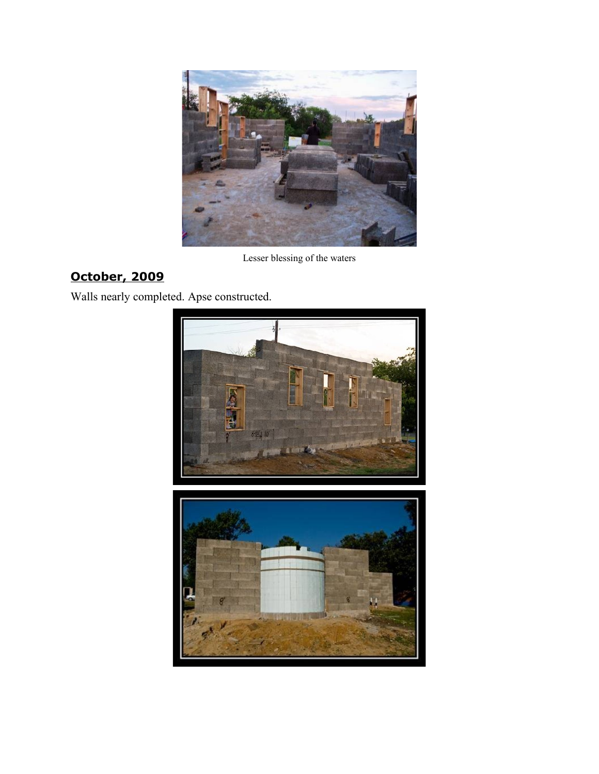

**October, 2009**

Walls nearly completed. Apse constructed.



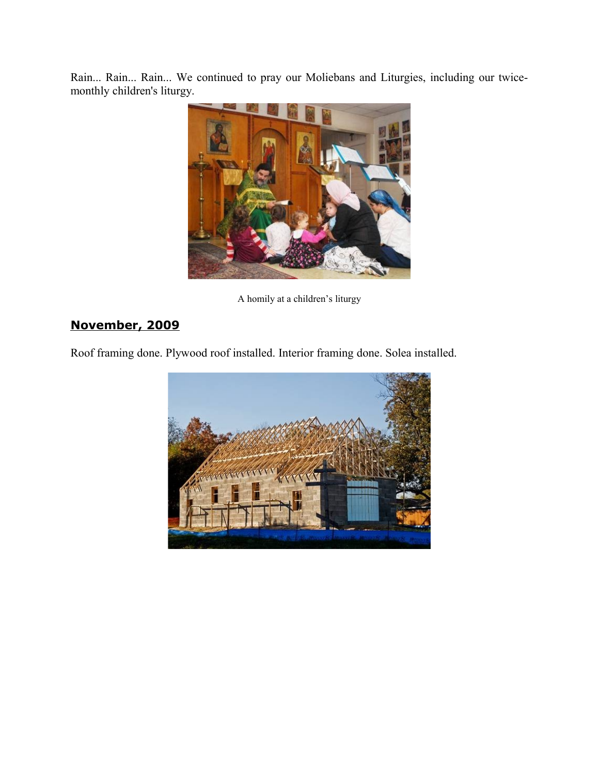Rain... Rain... Rain... We continued to pray our Moliebans and Liturgies, including our twicemonthly children's liturgy.



A homily at a children's liturgy

# **November, 2009**

Roof framing done. Plywood roof installed. Interior framing done. Solea installed.

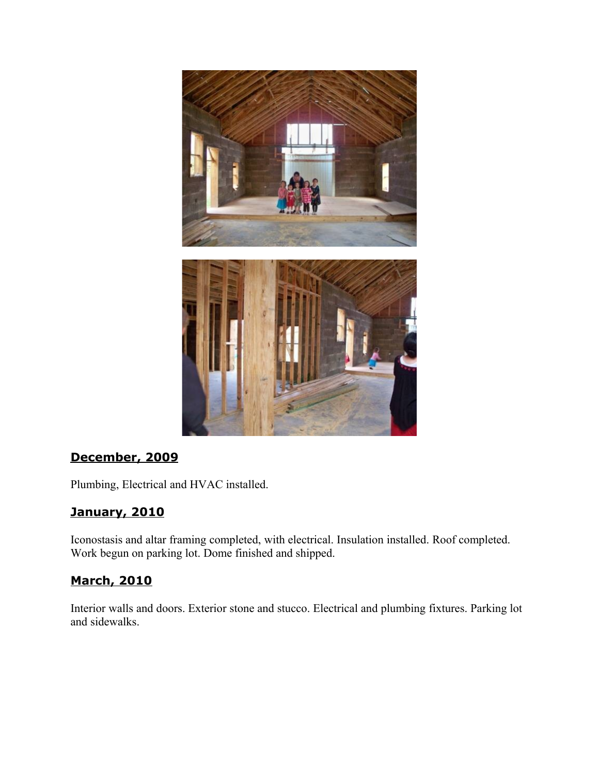

## **December, 2009**

Plumbing, Electrical and HVAC installed.

## **January, 2010**

Iconostasis and altar framing completed, with electrical. Insulation installed. Roof completed. Work begun on parking lot. Dome finished and shipped.

### **March, 2010**

Interior walls and doors. Exterior stone and stucco. Electrical and plumbing fixtures. Parking lot and sidewalks.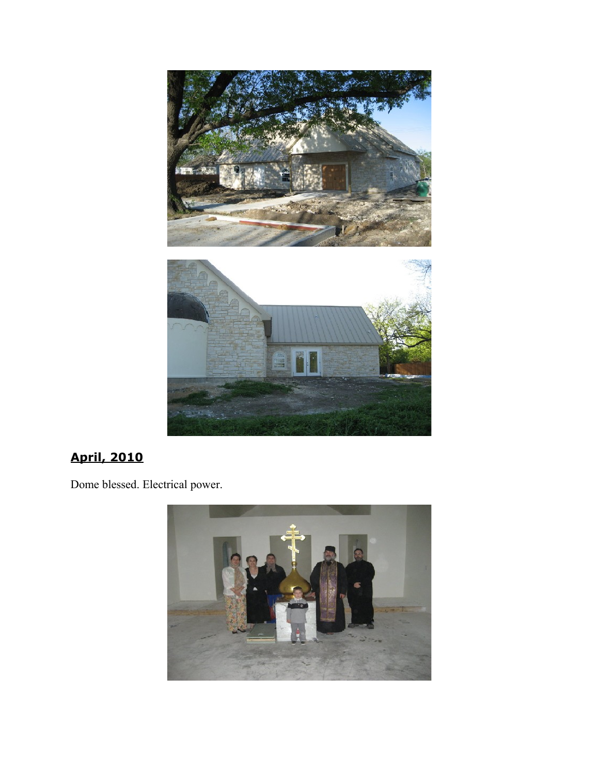

# **April, 2010**

Dome blessed. Electrical power.

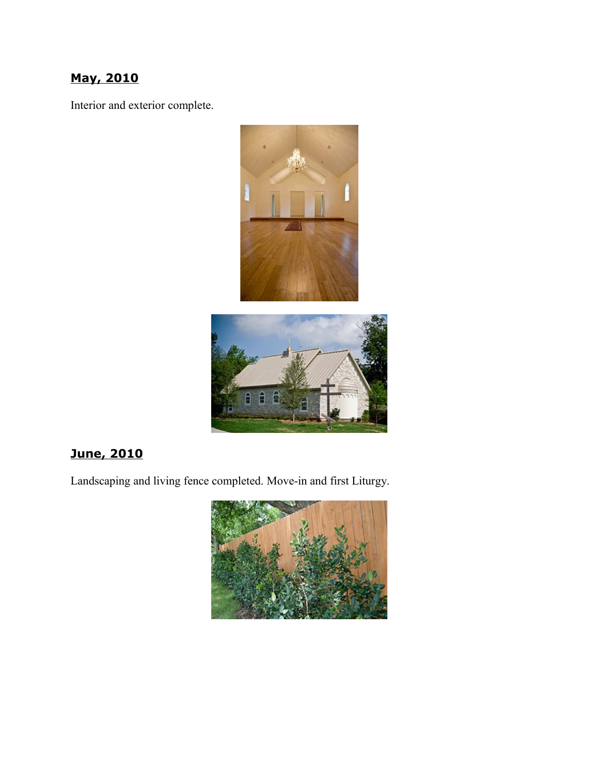# **May, 2010**

Interior and exterior complete.





# **June, 2010**

Landscaping and living fence completed. Move-in and first Liturgy.